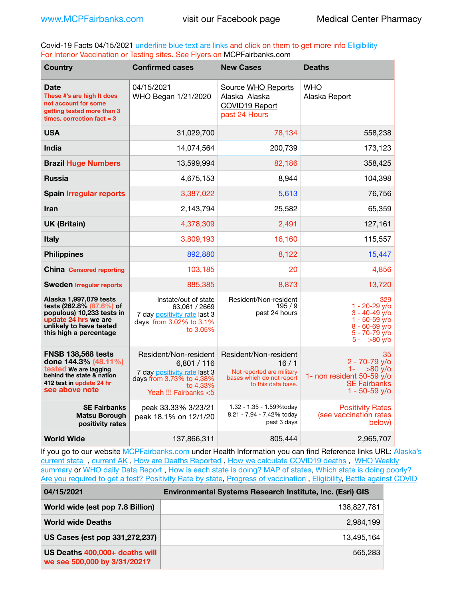Covid-19 Facts 04/15/2021 underline blue text are links and click on them to get more info **Eligibility** For Interior Vaccination or Testing sites. See Flyers on [MCPFairbanks.com](http://www.MCPFairbanks.com)

| <b>Country</b>                                                                                                                                               | <b>Confirmed cases</b>                                                                                                                | <b>New Cases</b>                                                                                              | <b>Deaths</b>                                                                                                           |
|--------------------------------------------------------------------------------------------------------------------------------------------------------------|---------------------------------------------------------------------------------------------------------------------------------------|---------------------------------------------------------------------------------------------------------------|-------------------------------------------------------------------------------------------------------------------------|
| Date<br>These #'s are high It does<br>not account for some<br>getting tested more than 3<br>times, correction fact $= 3$                                     | 04/15/2021<br>WHO Began 1/21/2020                                                                                                     | Source WHO Reports<br>Alaska Alaska<br>COVID19 Report<br>past 24 Hours                                        | WHO<br>Alaska Report                                                                                                    |
| <b>USA</b>                                                                                                                                                   | 31,029,700                                                                                                                            | 78,134                                                                                                        | 558,238                                                                                                                 |
| <b>India</b>                                                                                                                                                 | 14,074,564                                                                                                                            | 200,739                                                                                                       | 173,123                                                                                                                 |
| <b>Brazil Huge Numbers</b>                                                                                                                                   | 13,599,994                                                                                                                            | 82,186                                                                                                        | 358,425                                                                                                                 |
| <b>Russia</b>                                                                                                                                                | 4,675,153                                                                                                                             | 8,944                                                                                                         | 104,398                                                                                                                 |
| <b>Spain Irregular reports</b>                                                                                                                               | 3,387,022                                                                                                                             | 5,613                                                                                                         | 76,756                                                                                                                  |
| <b>Iran</b>                                                                                                                                                  | 2,143,794                                                                                                                             | 25,582                                                                                                        | 65,359                                                                                                                  |
| <b>UK (Britain)</b>                                                                                                                                          | 4,378,309                                                                                                                             | 2,491                                                                                                         | 127,161                                                                                                                 |
| <b>Italy</b>                                                                                                                                                 | 3,809,193                                                                                                                             | 16,160                                                                                                        | 115,557                                                                                                                 |
| <b>Philippines</b>                                                                                                                                           | 892,880                                                                                                                               | 8,122                                                                                                         | 15,447                                                                                                                  |
| <b>China</b> Censored reporting                                                                                                                              | 103,185                                                                                                                               | 20                                                                                                            | 4,856                                                                                                                   |
| <b>Sweden Irregular reports</b>                                                                                                                              | 885,385                                                                                                                               | 8,873                                                                                                         | 13,720                                                                                                                  |
| Alaska 1,997,079 tests<br>tests (262.8% (87.6%) of<br>populous) 10,233 tests in<br>update 24 hrs we are<br>unlikely to have tested<br>this high a percentage | Instate/out of state<br>63,061 / 2669<br>7 day positivity rate last 3<br>days from 3.02% to 3.1%<br>to 3.05%                          | Resident/Non-resident<br>195/9<br>past 24 hours                                                               | 329<br>$1 - 20 - 29$ y/o<br>$3 - 40 - 49$ $v$ /o<br>1 - 50-59 y/o<br>$8 - 60 - 69$ y/o<br>5 - 70-79 y/o<br>$5 - 80$ y/o |
| <b>FNSB 138,568 tests</b><br>done 144.3% (48.11%)<br>tested We are lagging<br>behind the state & nation<br>412 test in update 24 hr<br>see above note        | Resident/Non-resident<br>6,801 / 116<br>7 day positivity rate last 3<br>days from 3.73% to 4.38%<br>to 4.33%<br>Yeah !!! Fairbanks <5 | Resident/Non-resident<br>16/1<br>Not reported are military<br>bases which do not report<br>to this data base. | 35<br>2 - 70-79 v/o<br>$1 -$<br>>80 v/o<br>1- non resident 50-59 $y$ /o<br><b>SE Fairbanks</b><br>$1 - 50 - 59$ y/o     |
| <b>SE Fairbanks</b><br><b>Matsu Borough</b><br>positivity rates                                                                                              | peak 33.33% 3/23/21<br>peak 18.1% on 12/1/20                                                                                          | 1.32 - 1.35 - 1.59%today<br>8.21 - 7.94 - 7.42% today<br>past 3 days                                          | <b>Positivity Rates</b><br>(see vaccination rates<br>below)                                                             |
| <b>World Wide</b>                                                                                                                                            | 137,866,311                                                                                                                           | 805,444                                                                                                       | 2,965,707                                                                                                               |

If you go to our website [MCPFairbanks.com](http://www.MCPFairbanks.com) under Health Information you can find Reference links URL: Alaska's current state, current AK, [How are Deaths Reported](http://dhss.alaska.gov/dph/Epi/id/Pages/COVID-19/deathcounts.aspx), [How we calculate COVID19 deaths](https://coronavirus-response-alaska-dhss.hub.arcgis.com/search?collection=Document&groupIds=41ccb3344ebc4bd682c74073eba21f42), WHO Weekly [summary](http://www.who.int) or [WHO daily Data Report](https://covid19.who.int/table), [How is each state is doing?](https://www.msn.com/en-us/news/us/state-by-state-coronavirus-news/ar-BB13E1PX?fbclid=IwAR0_OBJH7lSyTN3ug_MsOeFnNgB1orTa9OBgilKJ7dhnwlVvHEsptuKkj1c) [MAP of states,](https://www.nationalgeographic.com/science/graphics/graphic-tracking-coronavirus-infections-us?cmpid=org=ngp::mc=crm-email::src=ngp::cmp=editorial::add=SpecialEdition_20210305&rid=B9A6DF5992658E8E35CE023113CFEA4C) [Which state is doing poorly?](https://bestlifeonline.com/covid-outbreak-your-state/?utm_source=nsltr&utm_medium=email&utm_content=covid-outbreak-your-state&utm_campaign=launch) [Are you required to get a test?](http://dhss.alaska.gov/dph/Epi/id/SiteAssets/Pages/HumanCoV/Whattodoafteryourtest.pdf) [Positivity Rate by state](https://coronavirus.jhu.edu/testing/individual-states/alaska), Progress of vaccination, [Eligibility,](http://dhss.alaska.gov/dph/Epi/id/Pages/COVID-19/VaccineAvailability.aspx) [Battle against COVID](https://www.nationalgeographic.com/science/graphics/graphic-tracking-coronavirus-infections-us?cmpid=org=ngp::mc=crm-email::src=ngp::cmp=editorial::add=SpecialEdition_20210219&rid=B9A6DF5992658E8E35CE023113CFEA4C)

| 04/15/2021                                                     | Environmental Systems Research Institute, Inc. (Esri) GIS |
|----------------------------------------------------------------|-----------------------------------------------------------|
| World wide (est pop 7.8 Billion)                               | 138,827,781                                               |
| <b>World wide Deaths</b>                                       | 2.984.199                                                 |
| US Cases (est pop 331,272,237)                                 | 13,495,164                                                |
| US Deaths 400,000+ deaths will<br>we see 500,000 by 3/31/2021? | 565.283                                                   |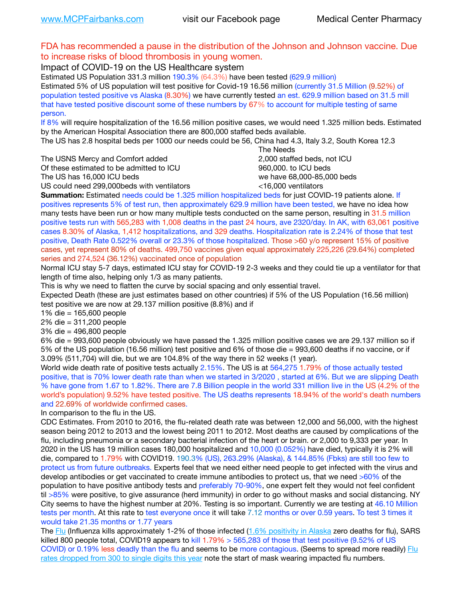# FDA has recommended a pause in the distribution of the Johnson and Johnson vaccine. Due to increase risks of blood thrombosis in young women.

Impact of COVID-19 on the US Healthcare system

Estimated US Population 331.3 million 190.3% (64.3%) have been tested (629.9 million) Estimated 5% of US population will test positive for Covid-19 16.56 million (currently 31.5 Million (9.52%) of population tested positive vs Alaska (8.30%) we have currently tested an est. 629.9 million based on 31.5 mill that have tested positive discount some of these numbers by 67% to account for multiple testing of same person.

If 8% will require hospitalization of the 16.56 million positive cases, we would need 1.325 million beds. Estimated by the American Hospital Association there are 800,000 staffed beds available.

The US has 2.8 hospital beds per 1000 our needs could be 56, China had 4.3, Italy 3.2, South Korea 12.3

The USNS Mercy and Comfort added 2,000 staffed beds, not ICU

Of these estimated to be admitted to ICU **860,000**, to ICU beds

 The Needs The US has 16,000 ICU beds we have 68,000-85,000 beds

US could need 299,000 beds with ventilators  $\leq$ 16,000 ventilators

**Summation:** Estimated needs could be 1.325 million hospitalized beds for just COVID-19 patients alone. If positives represents 5% of test run, then approximately 629.9 million have been tested, we have no idea how many tests have been run or how many multiple tests conducted on the same person, resulting in 31.5 million positive tests run with 565,283 with 1,008 deaths in the past 24 hours, ave 2320/day. In AK, with 63,061 positive cases 8.30% of Alaska, 1,412 hospitalizations, and 329 deaths. Hospitalization rate is 2.24% of those that test positive, Death Rate 0.522% overall or 23.3% of those hospitalized. Those >60 y/o represent 15% of positive cases, yet represent 80% of deaths. 499,750 vaccines given equal approximately 225,226 (29.64%) completed series and 274,524 (36.12%) vaccinated once of population

Normal ICU stay 5-7 days, estimated ICU stay for COVID-19 2-3 weeks and they could tie up a ventilator for that length of time also, helping only 1/3 as many patients.

This is why we need to flatten the curve by social spacing and only essential travel.

Expected Death (these are just estimates based on other countries) if 5% of the US Population (16.56 million) test positive we are now at 29.137 million positive (8.8%) and if

1% die = 165,600 people

2% die = 311,200 people

3% die = 496,800 people

6% die = 993,600 people obviously we have passed the 1.325 million positive cases we are 29.137 million so if 5% of the US population (16.56 million) test positive and 6% of those die = 993,600 deaths if no vaccine, or if 3.09% (511,704) will die, but we are 104.8% of the way there in 52 weeks (1 year).

World wide death rate of positive tests actually 2.15%. The US is at 564,275 1.79% of those actually tested positive, that is 70% lower death rate than when we started in 3/2020 , started at 6%. But we are slipping Death % have gone from 1.67 to 1.82%. There are 7.8 Billion people in the world 331 million live in the US (4.2% of the world's population) 9.52% have tested positive. The US deaths represents 18.94% of the world's death numbers and 22.69% of worldwide confirmed cases.

In comparison to the flu in the US.

CDC Estimates. From 2010 to 2016, the flu-related death rate was between 12,000 and 56,000, with the highest season being 2012 to 2013 and the lowest being 2011 to 2012. Most deaths are caused by complications of the flu, including pneumonia or a secondary bacterial infection of the heart or brain. or 2,000 to 9,333 per year. In 2020 in the US has 19 million cases 180,000 hospitalized and 10,000 (0.052%) have died, typically it is 2% will die, compared to 1.79% with COVID19. 190.3% (US), 263.29% (Alaska), & 144.85% (Fbks) are still too few to protect us from future outbreaks. Experts feel that we need either need people to get infected with the virus and develop antibodies or get vaccinated to create immune antibodies to protect us, that we need >60% of the population to have positive antibody tests and preferably 70-90%, one expert felt they would not feel confident til >85% were positive, to give assurance (herd immunity) in order to go without masks and social distancing. NY City seems to have the highest number at 20%. Testing is so important. Currently we are testing at 46.10 Million tests per month. At this rate to test everyone once it will take 7.12 months or over 0.59 years. To test 3 times it would take 21.35 months or 1.77 years

The [Flu](https://lnks.gd/l/eyJhbGciOiJIUzI1NiJ9.eyJidWxsZXRpbl9saW5rX2lkIjoxMDMsInVyaSI6ImJwMjpjbGljayIsImJ1bGxldGluX2lkIjoiMjAyMTAyMjYuMzYwNDA3NTEiLCJ1cmwiOiJodHRwczovL3d3dy5jZGMuZ292L2ZsdS93ZWVrbHkvb3ZlcnZpZXcuaHRtIn0.ePMA_hsZ-pTnhWSyg1gHvHWYTu2XceVOt0JejxvP1WE/s/500544915/br/98428119752-l) (Influenza kills approximately 1-2% of those infected ([1.6% positivity in Alaska](http://dhss.alaska.gov/dph/Epi/id/SiteAssets/Pages/influenza/trends/Snapshot.pdf) zero deaths for flu), SARS killed 800 people total, COVID19 appears to kill 1.79% > 565,283 of those that test positive (9.52% of US COVID) or 0.19% less deadly than the flu and seems to be more contagious. (Seems to spread more readily) Flu [rates dropped from 300 to single digits this year](https://lnks.gd/l/eyJhbGciOiJIUzI1NiJ9.eyJidWxsZXRpbl9saW5rX2lkIjoxMDEsInVyaSI6ImJwMjpjbGljayIsImJ1bGxldGluX2lkIjoiMjAyMTAyMjYuMzYwNDA3NTEiLCJ1cmwiOiJodHRwOi8vZGhzcy5hbGFza2EuZ292L2RwaC9FcGkvaWQvUGFnZXMvaW5mbHVlbnphL2ZsdWluZm8uYXNweCJ9.oOe3nt2fww6XpsNhb4FZfmtPfPa-irGaldpkURBJhSo/s/500544915/br/98428119752-l) note the start of mask wearing impacted flu numbers.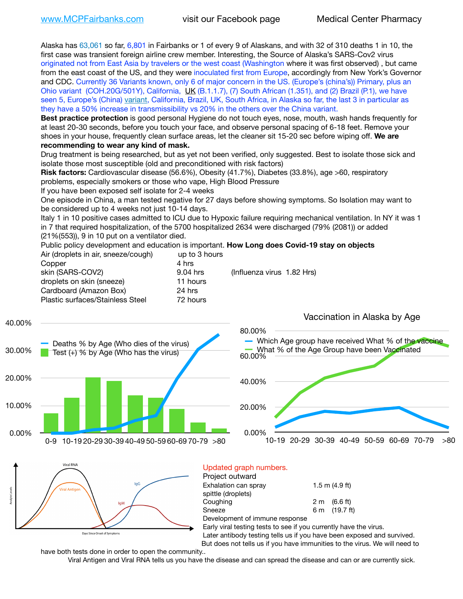Alaska has 63,061 so far, 6,801 in Fairbanks or 1 of every 9 of Alaskans, and with 32 of 310 deaths 1 in 10, the first case was transient foreign airline crew member. Interesting, the Source of Alaska's SARS-Cov2 virus originated not from East Asia by travelers or the west coast (Washington where it was first observed) , but came from the east coast of the US, and they were inoculated first from Europe, accordingly from New York's Governor and CDC. Currently 36 Variants known, only 6 of major concern in the US. (Europe's (china's)) Primary, plus an Ohio variant (COH.20G/501Y), California, [UK](https://www.cdc.gov/coronavirus/2019-ncov/transmission/variant-cases.html) (B.1.1.7), (7) South African (1.351), and (2) Brazil (P.1), we have seen 5, Europe's (China) [variant,](https://www.webmd.com/lung/news/20210318/cdc-who-create-threat-levels-for-covid-variants?ecd=wnl_cvd_031921&ctr=wnl-cvd-031921&mb=kYbf7DsHb7YGjh/1RUkcAW0T6iorImAU1TDZh18RYs0=_Support_titleLink_2) California, Brazil, UK, South Africa, in Alaska so far, the last 3 in particular as they have a 50% increase in transmissibility vs 20% in the others over the China variant.

**Best practice protection** is good personal Hygiene do not touch eyes, nose, mouth, wash hands frequently for at least 20-30 seconds, before you touch your face, and observe personal spacing of 6-18 feet. Remove your shoes in your house, frequently clean surface areas, let the cleaner sit 15-20 sec before wiping off. **We are recommending to wear any kind of mask.**

Drug treatment is being researched, but as yet not been verified, only suggested. Best to isolate those sick and isolate those most susceptible (old and preconditioned with risk factors)

**Risk factors:** Cardiovascular disease (56.6%), Obesity (41.7%), Diabetes (33.8%), age >60, respiratory problems, especially smokers or those who vape, High Blood Pressure

If you have been exposed self isolate for 2-4 weeks

One episode in China, a man tested negative for 27 days before showing symptoms. So Isolation may want to be considered up to 4 weeks not just 10-14 days.

Italy 1 in 10 positive cases admitted to ICU due to Hypoxic failure requiring mechanical ventilation. In NY it was 1 in 7 that required hospitalization, of the 5700 hospitalized 2634 were discharged (79% (2081)) or added (21%(553)), 9 in 10 put on a ventilator died.

Public policy development and education is important. **How Long does Covid-19 stay on objects**  $A$ ir (droplets in air, speeze (cough)

| Air (dropiets in air, sneeze/cough) | UD TO 3 NOURS |                            |
|-------------------------------------|---------------|----------------------------|
| Copper                              | 4 hrs         |                            |
| skin (SARS-COV2)                    | 9.04 hrs      | (Influenza virus 1.82 Hrs) |
| droplets on skin (sneeze)           | 11 hours      |                            |
| Cardboard (Amazon Box)              | 24 hrs        |                            |
| Plastic surfaces/Stainless Steel    | 72 hours      |                            |
|                                     |               |                            |





#### Updated graph numbers. Project outward

| <b>I</b> IVIUUL VULIVAIU       |                        |
|--------------------------------|------------------------|
| Exhalation can spray           | $1.5$ m $(4.9$ ft)     |
| spittle (droplets)             |                        |
| Coughing                       | $2 \text{ m}$ (6.6 ft) |
| Sneeze                         | 6 m (19.7 ft)          |
| Development of immune response |                        |

Early viral testing tests to see if you currently have the virus.

Later antibody testing tells us if you have been exposed and survived. But does not tells us if you have immunities to the virus. We will need to

have both tests done in order to open the community..

Viral Antigen and Viral RNA tells us you have the disease and can spread the disease and can or are currently sick.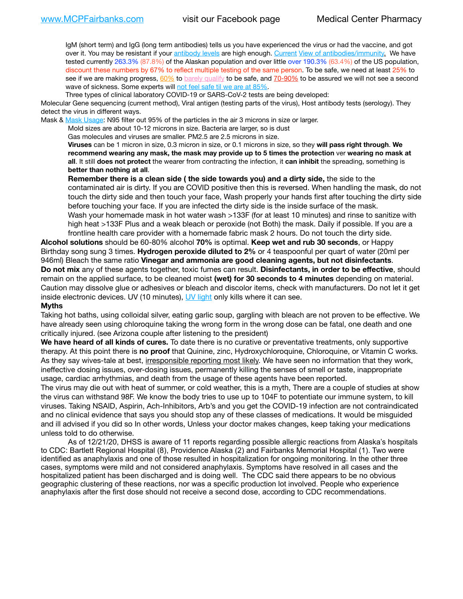IgM (short term) and IgG (long term antibodies) tells us you have experienced the virus or had the vaccine, and got over it. You may be resistant if your [antibody levels](https://www.cdc.gov/coronavirus/2019-ncov/lab/resources/antibody-tests.html) are high enough. [Current](https://l.facebook.com/l.php?u=https://www.itv.com/news/2020-10-26/covid-19-antibody-levels-reduce-over-time-study-finds?fbclid=IwAR3Dapzh1qIH1EIOdUQI2y8THf7jfA4KBCaJz8Qg-8xe1YsrR4nsAHDIXSY&h=AT30nut8pkqp0heVuz5W2rT2WFFm-2Ab52BsJxZZCNlGsX58IpPkuVEPULbIUV_M16MAukx1Kwb657DPXxsgDN1rpOQ4gqBtQsmVYiWpnHPJo2RQsU6CPMd14lgLnQnFWxfVi6zvmw&__tn__=-UK-R&c%5B0%5D=AT1GaRAfR_nGAyqcn7TI1-PpvqOqEKXHnz6TDWvRStMnOSH7boQDvTiwTOc6VId9UES6LKiOmm2m88wKCoolkJyOFvakt2Z1Mw8toYWGGoWW23r0MNVBl7cYJXB_UOvGklNHaNnaNr1_S7NhT3BSykNOBg) [View of antibodies/immunity](https://www.livescience.com/antibodies.html)[.](https://www.itv.com/news/2020-10-26/covid-19-antibody-levels-reduce-over-time-study-finds) We have tested currently 263.3% (87.8%) of the Alaskan population and over little over 190.3% (63.4%) of the US population, discount these numbers by 67% to reflect multiple testing of the same person. To be safe, we need at least 25% to see if we are making progress, [60%](https://www.jhsph.edu/covid-19/articles/achieving-herd-immunity-with-covid19.html) to [barely qualify](https://www.nature.com/articles/d41586-020-02948-4) to be safe, and [70-90%](https://www.mayoclinic.org/herd-immunity-and-coronavirus/art-20486808) to be assured we will not see a second wave of sickness. Some experts will [not feel safe til we are at 85%.](https://www.bannerhealth.com/healthcareblog/teach-me/what-is-herd-immunity)

Three types of clinical laboratory COVID-19 or SARS-CoV-2 tests are being developed:

Molecular Gene sequencing (current method), Viral antigen (testing parts of the virus), Host antibody tests (serology). They detect the virus in different ways.

Mask & [Mask Usage:](https://www.nationalgeographic.com/history/2020/03/how-cities-flattened-curve-1918-spanish-flu-pandemic-coronavirus/) N95 filter out 95% of the particles in the air 3 microns in size or larger.

Mold sizes are about 10-12 microns in size. Bacteria are larger, so is dust

Gas molecules and viruses are smaller. PM2.5 are 2.5 microns in size.

**Viruses** can be 1 micron in size, 0.3 micron in size, or 0.1 microns in size, so they **will pass right through**. **We recommend wearing any mask, the mask may provide up to 5 times the protection** ver **wearing no mask at all**. It still **does not protect** the wearer from contracting the infection, it **can inhibit** the spreading, something is **better than nothing at all**.

**Remember there is a clean side ( the side towards you) and a dirty side,** the side to the contaminated air is dirty. If you are COVID positive then this is reversed. When handling the mask, do not touch the dirty side and then touch your face, Wash properly your hands first after touching the dirty side before touching your face. If you are infected the dirty side is the inside surface of the mask. Wash your homemade mask in hot water wash >133F (for at least 10 minutes) and rinse to sanitize with high heat >133F Plus and a weak bleach or peroxide (not Both) the mask. Daily if possible. If you are a frontline health care provider with a homemade fabric mask 2 hours. Do not touch the dirty side.

**Alcohol solutions** should be 60-80% alcohol **70%** is optimal. **Keep wet and rub 30 seconds**, or Happy Birthday song sung 3 times. **Hydrogen peroxide diluted to 2%** or 4 teaspoonful per quart of water (20ml per 946ml) Bleach the same ratio **Vinegar and ammonia are good cleaning agents, but not disinfectants**. **Do not mix** any of these agents together, toxic fumes can result. **Disinfectants, in order to be effective**, should remain on the applied surface, to be cleaned moist **(wet) for 30 seconds to 4 minutes** depending on material. Caution may dissolve glue or adhesives or bleach and discolor items, check with manufacturers. Do not let it get inside electronic devices. UV (10 minutes), [UV light](http://www.docreviews.me/best-uv-boxes-2020/?fbclid=IwAR3bvFtXB48OoBBSvYvTEnKuHNPbipxM6jUo82QUSw9wckxjC7wwRZWabGw) only kills where it can see.

#### **Myths**

Taking hot baths, using colloidal silver, eating garlic soup, gargling with bleach are not proven to be effective. We have already seen using chloroquine taking the wrong form in the wrong dose can be fatal, one death and one critically injured. (see Arizona couple after listening to the president)

**We have heard of all kinds of cures.** To date there is no curative or preventative treatments, only supportive therapy. At this point there is **no proof** that Quinine, zinc, Hydroxychloroquine, Chloroquine, or Vitamin C works. As they say wives-tale at best, irresponsible reporting most likely. We have seen no information that they work, ineffective dosing issues, over-dosing issues, permanently killing the senses of smell or taste, inappropriate usage, cardiac arrhythmias, and death from the usage of these agents have been reported.

The virus may die out with heat of summer, or cold weather, this is a myth, There are a couple of studies at show the virus can withstand 98F. We know the body tries to use up to 104F to potentiate our immune system, to kill viruses. Taking NSAID, Aspirin, Ach-Inhibitors, Arb's and you get the COVID-19 infection are not contraindicated and no clinical evidence that says you should stop any of these classes of medications. It would be misguided and ill advised if you did so In other words, Unless your doctor makes changes, keep taking your medications unless told to do otherwise.

As of 12/21/20, DHSS is aware of 11 reports regarding possible allergic reactions from Alaska's hospitals to CDC: Bartlett Regional Hospital (8), Providence Alaska (2) and Fairbanks Memorial Hospital (1). Two were identified as anaphylaxis and one of those resulted in hospitalization for ongoing monitoring. In the other three cases, symptoms were mild and not considered anaphylaxis. Symptoms have resolved in all cases and the hospitalized patient has been discharged and is doing well. The CDC said there appears to be no obvious geographic clustering of these reactions, nor was a specific production lot involved. People who experience anaphylaxis after the first dose should not receive a second dose, according to CDC recommendations.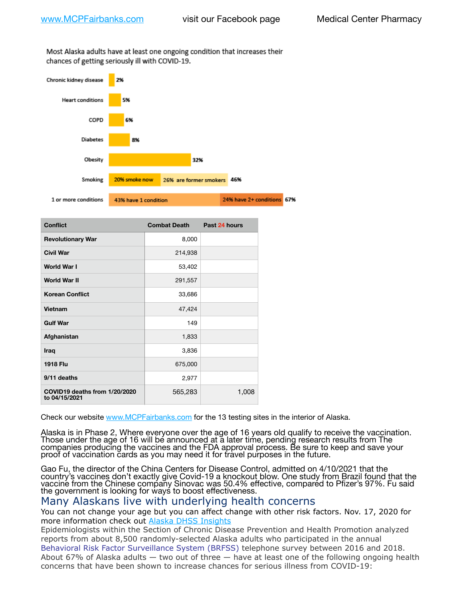Most Alaska adults have at least one ongoing condition that increases their chances of getting seriously ill with COVID-19.



| <b>Conflict</b>                                | <b>Combat Death</b> | Past 24 hours |
|------------------------------------------------|---------------------|---------------|
| <b>Revolutionary War</b>                       | 8,000               |               |
| <b>Civil War</b>                               | 214,938             |               |
| World War I                                    | 53,402              |               |
| <b>World War II</b>                            | 291,557             |               |
| <b>Korean Conflict</b>                         | 33,686              |               |
| Vietnam                                        | 47,424              |               |
| <b>Gulf War</b>                                | 149                 |               |
| Afghanistan                                    | 1,833               |               |
| Iraq                                           | 3,836               |               |
| <b>1918 Flu</b>                                | 675,000             |               |
| 9/11 deaths                                    | 2,977               |               |
| COVID19 deaths from 1/20/2020<br>to 04/15/2021 | 565,283             | 1,008         |

Check our website [www.MCPFairbanks.com](http://www.MCPFairbanks.com) for the 13 testing sites in the interior of Alaska.

Alaska is in Phase 2, Where everyone over the age of 16 years old qualify to receive the vaccination. Those under the age of 16 will be announced at a later time, pending research results from The companies producing the vaccines and the FDA approval process. Be sure to keep and save your proof of vaccination cards as you may need it for travel purposes in the future.

Gao Fu, the director of the China Centers for Disease Control, admitted on 4/10/2021 that the country's vaccines don't exactly give Covid-19 a knockout blow. One study from Brazil found that the vaccine from the Chinese company Sinovac was 50.4% effective, compared to Pfizer's 97%. Fu said the government is looking for ways to boost effectiveness.

# Many Alaskans live with underlying health concerns

You can not change your age but you can affect change with other risk factors. Nov. 17, 2020 for more information check out [Alaska DHSS Insights](http://dhss.alaska.gov/dph/Epi/id/Pages/COVID-19/blog/20201117.aspx)

Epidemiologists within the Section of Chronic Disease Prevention and Health Promotion analyzed reports from about 8,500 randomly-selected Alaska adults who participated in the annual [Behavioral Risk Factor Surveillance System \(BRFSS\)](http://dhss.alaska.gov/dph/Chronic/Pages/brfss/default.aspx) telephone survey between 2016 and 2018. About 67% of Alaska adults — two out of three — have at least one of the following ongoing health concerns that have been shown to increase chances for serious illness from COVID-19: